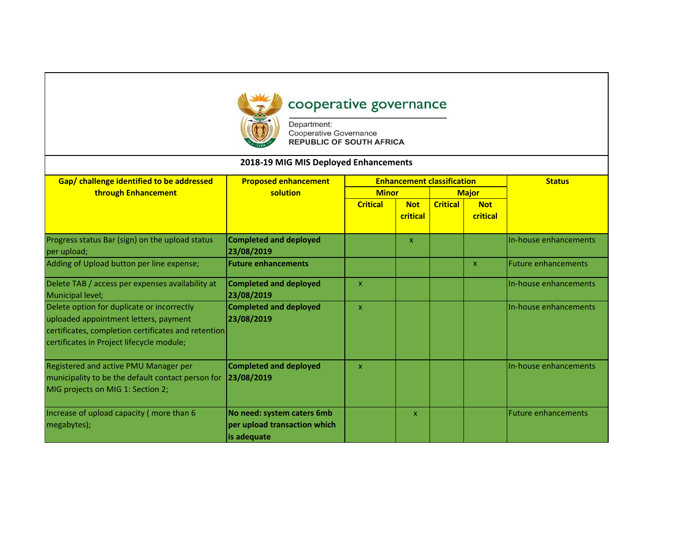

## cooperative governance

Department:<br>Cooperative Governance<br>REPUBLIC OF SOUTH AFRICA

| 2018-19 MIG MIS Deployed Enhancements                                                                                                                                                   |                                                                           |                           |                                   |                 |                        |                            |
|-----------------------------------------------------------------------------------------------------------------------------------------------------------------------------------------|---------------------------------------------------------------------------|---------------------------|-----------------------------------|-----------------|------------------------|----------------------------|
| Gap/ challenge identified to be addressed                                                                                                                                               | <b>Proposed enhancement</b><br>solution                                   |                           | <b>Enhancement classification</b> | <b>Status</b>   |                        |                            |
| through Enhancement                                                                                                                                                                     |                                                                           | <b>Minor</b>              |                                   |                 | <b>Major</b>           |                            |
|                                                                                                                                                                                         |                                                                           | <b>Critical</b>           | <b>Not</b><br>critical            | <b>Critical</b> | <b>Not</b><br>critical |                            |
| Progress status Bar (sign) on the upload status<br>per upload;                                                                                                                          | <b>Completed and deployed</b><br>23/08/2019                               |                           | x                                 |                 |                        | In-house enhancements      |
| Adding of Upload button per line expense;                                                                                                                                               | <b>Future enhancements</b>                                                |                           |                                   |                 | X                      | <b>Future enhancements</b> |
| Delete TAB / access per expenses availability at<br>Municipal level;                                                                                                                    | <b>Completed and deployed</b><br>23/08/2019                               | $\boldsymbol{\mathsf{x}}$ |                                   |                 |                        | In-house enhancements      |
| Delete option for duplicate or incorrectly<br>uploaded appointment letters, payment<br>certificates, completion certificates and retention<br>certificates in Project lifecycle module; | <b>Completed and deployed</b><br>23/08/2019                               | $\boldsymbol{\mathsf{x}}$ |                                   |                 |                        | In-house enhancements      |
| Registered and active PMU Manager per<br>municipality to be the default contact person for<br>MIG projects on MIG 1: Section 2;                                                         | <b>Completed and deployed</b><br>23/08/2019                               | $\boldsymbol{\mathsf{x}}$ |                                   |                 |                        | In-house enhancements      |
| Increase of upload capacity (more than 6<br>megabytes);                                                                                                                                 | No need: system caters 6mb<br>per upload transaction which<br>is adequate |                           | X.                                |                 |                        | <b>Future enhancements</b> |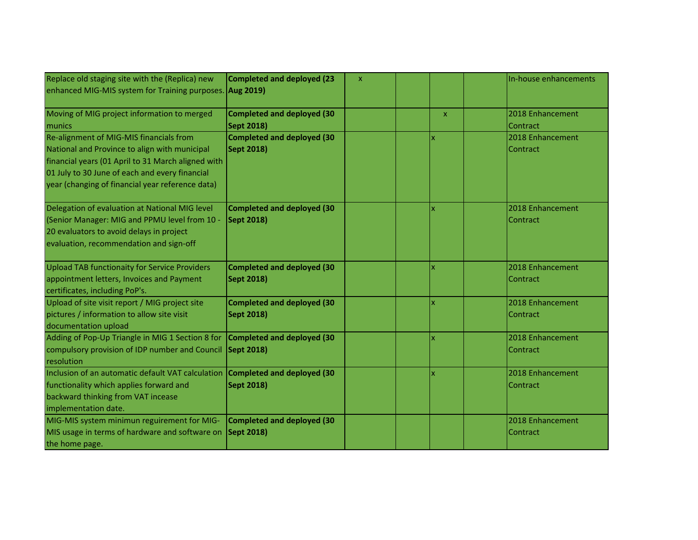| Replace old staging site with the (Replica) new<br>enhanced MIG-MIS system for Training purposes. Aug 2019)                                                                                                                                          | <b>Completed and deployed (23</b>                      | x |                           | In-house enhancements        |
|------------------------------------------------------------------------------------------------------------------------------------------------------------------------------------------------------------------------------------------------------|--------------------------------------------------------|---|---------------------------|------------------------------|
| Moving of MIG project information to merged<br>munics                                                                                                                                                                                                | <b>Completed and deployed (30</b><br><b>Sept 2018)</b> |   | $\boldsymbol{\mathsf{x}}$ | 2018 Enhancement<br>Contract |
| Re-alignment of MIG-MIS financials from<br>National and Province to align with municipal<br>financial years (01 April to 31 March aligned with<br>01 July to 30 June of each and every financial<br>year (changing of financial year reference data) | <b>Completed and deployed (30</b><br><b>Sept 2018)</b> |   | X                         | 2018 Enhancement<br>Contract |
| Delegation of evaluation at National MIG level<br>(Senior Manager: MIG and PPMU level from 10 -<br>20 evaluators to avoid delays in project<br>evaluation, recommendation and sign-off                                                               | <b>Completed and deployed (30</b><br><b>Sept 2018)</b> |   | $\overline{\mathbf{x}}$   | 2018 Enhancement<br>Contract |
| Upload TAB functionaity for Service Providers<br>appointment letters, Invoices and Payment<br>certificates, including PoP's.                                                                                                                         | <b>Completed and deployed (30</b><br><b>Sept 2018)</b> |   |                           | 2018 Enhancement<br>Contract |
| Upload of site visit report / MIG project site<br>pictures / information to allow site visit<br>documentation upload                                                                                                                                 | <b>Completed and deployed (30</b><br><b>Sept 2018)</b> |   |                           | 2018 Enhancement<br>Contract |
| Adding of Pop-Up Triangle in MIG 1 Section 8 for<br>compulsory provision of IDP number and Council<br>resolution                                                                                                                                     | Completed and deployed (30<br><b>Sept 2018)</b>        |   |                           | 2018 Enhancement<br>Contract |
| Inclusion of an automatic default VAT calculation<br>functionality which applies forward and<br>backward thinking from VAT incease<br>implementation date.                                                                                           | <b>Completed and deployed (30</b><br><b>Sept 2018)</b> |   |                           | 2018 Enhancement<br>Contract |
| MIG-MIS system minimun reguirement for MIG-<br>MIS usage in terms of hardware and software on<br>the home page.                                                                                                                                      | <b>Completed and deployed (30</b><br><b>Sept 2018)</b> |   |                           | 2018 Enhancement<br>Contract |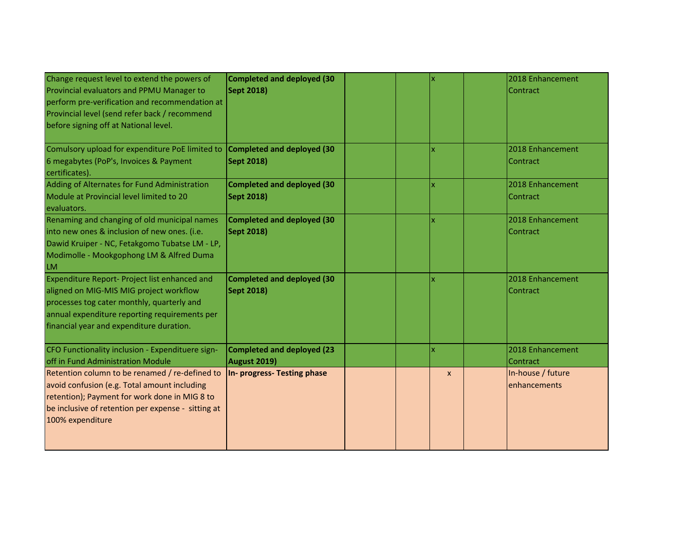| Change request level to extend the powers of<br>Provincial evaluators and PPMU Manager to<br>perform pre-verification and recommendation at<br>Provincial level (send refer back / recommend<br>before signing off at National level. | <b>Completed and deployed (30</b><br>Sept 2018)        |                         | 2018 Enhancement<br>Contract      |
|---------------------------------------------------------------------------------------------------------------------------------------------------------------------------------------------------------------------------------------|--------------------------------------------------------|-------------------------|-----------------------------------|
| Comulsory upload for expenditure PoE limited to<br>6 megabytes (PoP's, Invoices & Payment<br>certificates).                                                                                                                           | <b>Completed and deployed (30</b><br>Sept 2018)        | $\mathbf x$             | 2018 Enhancement<br>Contract      |
| Adding of Alternates for Fund Administration<br>Module at Provincial level limited to 20<br>levaluators.                                                                                                                              | <b>Completed and deployed (30</b><br><b>Sept 2018)</b> | $\mathbf x$             | 2018 Enhancement<br>Contract      |
| Renaming and changing of old municipal names<br>into new ones & inclusion of new ones. (i.e.<br>Dawid Kruiper - NC, Fetakgomo Tubatse LM - LP,<br>Modimolle - Mookgophong LM & Alfred Duma<br><b>LM</b>                               | <b>Completed and deployed (30</b><br>Sept 2018)        | $\mathbf x$             | 2018 Enhancement<br>Contract      |
| Expenditure Report- Project list enhanced and<br>aligned on MIG-MIS MIG project workflow<br>processes tog cater monthly, quarterly and<br>annual expenditure reporting requirements per<br>financial year and expenditure duration.   | <b>Completed and deployed (30</b><br>Sept 2018)        | X                       | 2018 Enhancement<br>Contract      |
| CFO Functionality inclusion - Expendituere sign-<br>off in Fund Administration Module                                                                                                                                                 | <b>Completed and deployed (23</b><br>August 2019)      | $\overline{\mathsf{x}}$ | 2018 Enhancement<br>Contract      |
| Retention column to be renamed / re-defined to<br>avoid confusion (e.g. Total amount including<br>retention); Payment for work done in MIG 8 to<br>be inclusive of retention per expense - sitting at<br>100% expenditure             | In- progress- Testing phase                            | $\mathsf{x}$            | In-house / future<br>enhancements |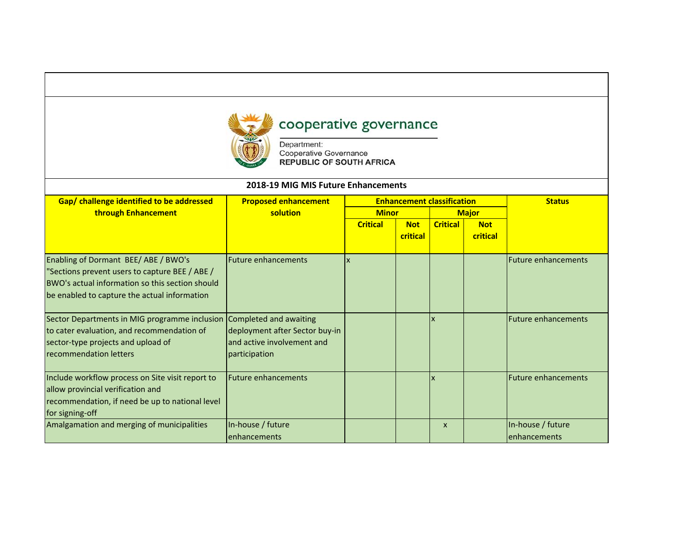

## cooperative governance

Department:<br>Cooperative Governance<br>REPUBLIC OF SOUTH AFRICA

| 2018-19 MIG MIS Future Enhancements                                                                                                                                                      |                                                                               |                 |                                   |                           |                        |                                    |
|------------------------------------------------------------------------------------------------------------------------------------------------------------------------------------------|-------------------------------------------------------------------------------|-----------------|-----------------------------------|---------------------------|------------------------|------------------------------------|
| Gap/ challenge identified to be addressed                                                                                                                                                | <b>Proposed enhancement</b>                                                   |                 | <b>Enhancement classification</b> | <b>Status</b>             |                        |                                    |
| through Enhancement                                                                                                                                                                      | solution                                                                      | <b>Minor</b>    |                                   |                           | <b>Major</b>           |                                    |
|                                                                                                                                                                                          |                                                                               | <b>Critical</b> | <b>Not</b><br>critical            | <b>Critical</b>           | <b>Not</b><br>critical |                                    |
| Enabling of Dormant BEE/ABE / BWO's<br>"Sections prevent users to capture BEE / ABE /<br>BWO's actual information so this section should<br>be enabled to capture the actual information | <b>Future enhancements</b>                                                    |                 |                                   |                           |                        | <b>Future enhancements</b>         |
| Sector Departments in MIG programme inclusion Completed and awaiting<br>to cater evaluation, and recommendation of<br>sector-type projects and upload of<br>recommendation letters       | deployment after Sector buy-in<br>and active involvement and<br>participation |                 |                                   |                           |                        | <b>Future enhancements</b>         |
| Include workflow process on Site visit report to<br>allow provincial verification and<br>recommendation, if need be up to national level<br>for signing-off                              | <b>Future enhancements</b>                                                    |                 |                                   |                           |                        | <b>Future enhancements</b>         |
| Amalgamation and merging of municipalities                                                                                                                                               | In-house / future<br>enhancements                                             |                 |                                   | $\boldsymbol{\mathsf{x}}$ |                        | In-house / future<br>lenhancements |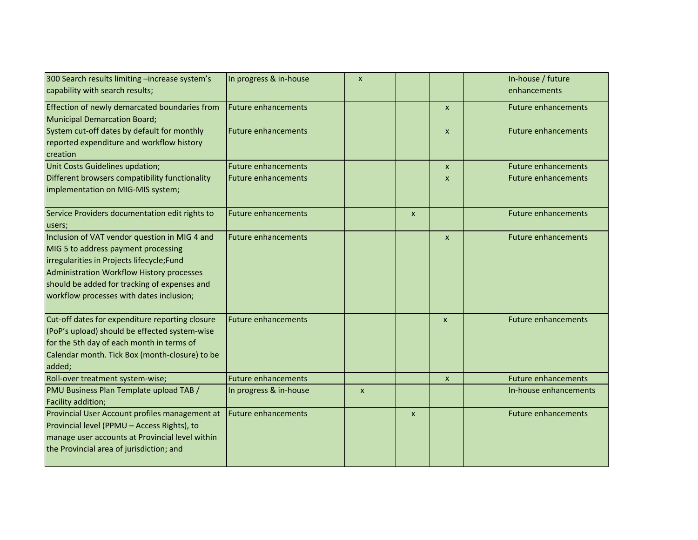| 300 Search results limiting -increase system's<br>capability with search results;                                                                                                                                                                                          | In progress & in-house     | $\mathsf{x}$              |                           |                           | In-house / future<br>enhancements |
|----------------------------------------------------------------------------------------------------------------------------------------------------------------------------------------------------------------------------------------------------------------------------|----------------------------|---------------------------|---------------------------|---------------------------|-----------------------------------|
| Effection of newly demarcated boundaries from<br>Municipal Demarcation Board;                                                                                                                                                                                              | <b>Future enhancements</b> |                           |                           | $\mathsf{x}$              | <b>Future enhancements</b>        |
| System cut-off dates by default for monthly<br>reported expenditure and workflow history<br>creation                                                                                                                                                                       | <b>Future enhancements</b> |                           |                           | $\mathsf{x}$              | <b>Future enhancements</b>        |
| Unit Costs Guidelines updation;                                                                                                                                                                                                                                            | <b>Future enhancements</b> |                           |                           | $\mathsf{x}$              | <b>Future enhancements</b>        |
| Different browsers compatibility functionality<br>implementation on MIG-MIS system;                                                                                                                                                                                        | <b>Future enhancements</b> |                           |                           | X                         | <b>Future enhancements</b>        |
| Service Providers documentation edit rights to<br>users;                                                                                                                                                                                                                   | <b>Future enhancements</b> |                           | $\mathsf{x}$              |                           | <b>Future enhancements</b>        |
| Inclusion of VAT vendor question in MIG 4 and<br>MIG 5 to address payment processing<br>irregularities in Projects lifecycle;Fund<br>Administration Workflow History processes<br>should be added for tracking of expenses and<br>workflow processes with dates inclusion; | <b>Future enhancements</b> |                           |                           | $\mathsf{x}$              | <b>Future enhancements</b>        |
| Cut-off dates for expenditure reporting closure<br>(PoP's upload) should be effected system-wise<br>for the 5th day of each month in terms of<br>Calendar month. Tick Box (month-closure) to be<br>added;                                                                  | <b>Future enhancements</b> |                           |                           | $\boldsymbol{\mathsf{x}}$ | <b>Future enhancements</b>        |
| Roll-over treatment system-wise;                                                                                                                                                                                                                                           | <b>Future enhancements</b> |                           |                           | $\pmb{\mathsf{x}}$        | <b>Future enhancements</b>        |
| PMU Business Plan Template upload TAB /<br>Facility addition;                                                                                                                                                                                                              | In progress & in-house     | $\boldsymbol{\mathsf{x}}$ |                           |                           | In-house enhancements             |
| Provincial User Account profiles management at<br>Provincial level (PPMU - Access Rights), to<br>manage user accounts at Provincial level within<br>the Provincial area of jurisdiction; and                                                                               | Future enhancements        |                           | $\boldsymbol{\mathsf{x}}$ |                           | <b>Future enhancements</b>        |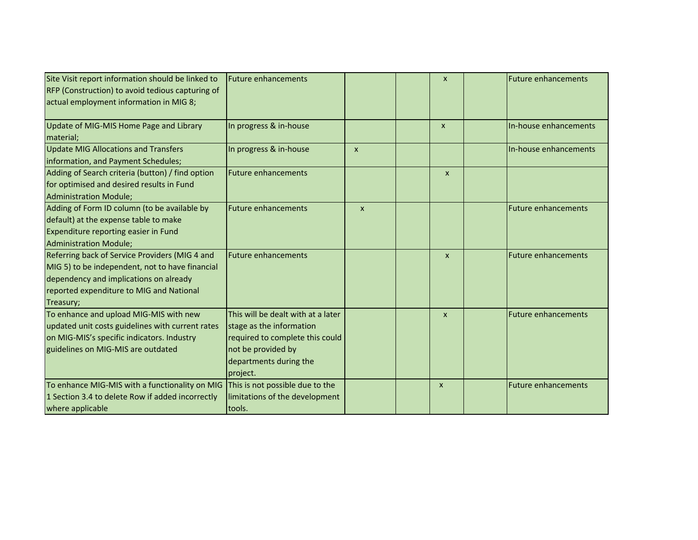| Site Visit report information should be linked to | <b>Future enhancements</b>         |              | $\mathsf{x}$              | <b>Future enhancements</b> |
|---------------------------------------------------|------------------------------------|--------------|---------------------------|----------------------------|
| RFP (Construction) to avoid tedious capturing of  |                                    |              |                           |                            |
| actual employment information in MIG 8;           |                                    |              |                           |                            |
|                                                   |                                    |              |                           |                            |
| Update of MIG-MIS Home Page and Library           | In progress & in-house             |              | $\boldsymbol{\mathsf{x}}$ | In-house enhancements      |
| material;                                         |                                    |              |                           |                            |
| <b>Update MIG Allocations and Transfers</b>       | In progress & in-house             | $\mathsf{x}$ |                           | In-house enhancements      |
| information, and Payment Schedules;               |                                    |              |                           |                            |
| Adding of Search criteria (button) / find option  | <b>Future enhancements</b>         |              | $\mathsf{x}$              |                            |
| for optimised and desired results in Fund         |                                    |              |                           |                            |
| <b>Administration Module;</b>                     |                                    |              |                           |                            |
| Adding of Form ID column (to be available by      | <b>Future enhancements</b>         | $\mathsf{x}$ |                           | <b>Future enhancements</b> |
| default) at the expense table to make             |                                    |              |                           |                            |
| Expenditure reporting easier in Fund              |                                    |              |                           |                            |
| <b>Administration Module;</b>                     |                                    |              |                           |                            |
| Referring back of Service Providers (MIG 4 and    | <b>Future enhancements</b>         |              | $\mathsf{x}$              | <b>Future enhancements</b> |
| MIG 5) to be independent, not to have financial   |                                    |              |                           |                            |
| dependency and implications on already            |                                    |              |                           |                            |
| reported expenditure to MIG and National          |                                    |              |                           |                            |
| Treasury;                                         |                                    |              |                           |                            |
| To enhance and upload MIG-MIS with new            | This will be dealt with at a later |              | $\boldsymbol{\mathsf{x}}$ | <b>Future enhancements</b> |
| updated unit costs guidelines with current rates  | stage as the information           |              |                           |                            |
| on MIG-MIS's specific indicators. Industry        | required to complete this could    |              |                           |                            |
| guidelines on MIG-MIS are outdated                | not be provided by                 |              |                           |                            |
|                                                   | departments during the             |              |                           |                            |
|                                                   | project.                           |              |                           |                            |
| To enhance MIG-MIS with a functionality on MIG    | This is not possible due to the    |              | $\boldsymbol{\mathsf{x}}$ | <b>Future enhancements</b> |
| 1 Section 3.4 to delete Row if added incorrectly  | limitations of the development     |              |                           |                            |
| where applicable                                  | tools.                             |              |                           |                            |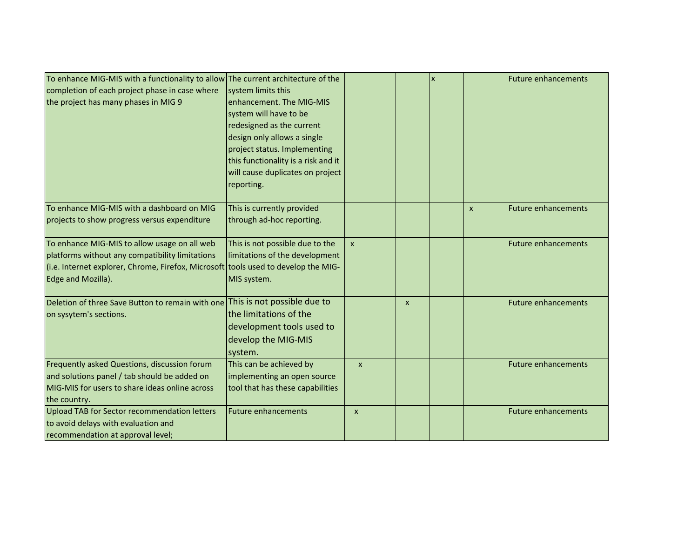| To enhance MIG-MIS with a functionality to allow The current architecture of the<br>completion of each project phase in case where<br>the project has many phases in MIG 9                                  | system limits this<br>enhancement. The MIG-MIS<br>system will have to be<br>redesigned as the current<br>design only allows a single<br>project status. Implementing<br>this functionality is a risk and it<br>will cause duplicates on project<br>reporting. |              |                |              | <b>Future enhancements</b> |
|-------------------------------------------------------------------------------------------------------------------------------------------------------------------------------------------------------------|---------------------------------------------------------------------------------------------------------------------------------------------------------------------------------------------------------------------------------------------------------------|--------------|----------------|--------------|----------------------------|
| To enhance MIG-MIS with a dashboard on MIG                                                                                                                                                                  | This is currently provided<br>through ad-hoc reporting.                                                                                                                                                                                                       |              |                | $\mathsf{x}$ | <b>Future enhancements</b> |
| projects to show progress versus expenditure                                                                                                                                                                |                                                                                                                                                                                                                                                               |              |                |              |                            |
| To enhance MIG-MIS to allow usage on all web<br>platforms without any compatibility limitations<br>(i.e. Internet explorer, Chrome, Firefox, Microsoft tools used to develop the MIG-<br>Edge and Mozilla). | This is not possible due to the<br>limitations of the development<br>MIS system.                                                                                                                                                                              | $\mathsf{x}$ |                |              | <b>Future enhancements</b> |
| Deletion of three Save Button to remain with one This is not possible due to<br>on sysytem's sections.                                                                                                      | the limitations of the<br>development tools used to<br>develop the MIG-MIS<br>system.                                                                                                                                                                         |              | $\pmb{\times}$ |              | <b>Future enhancements</b> |
| Frequently asked Questions, discussion forum<br>and solutions panel / tab should be added on<br>MIG-MIS for users to share ideas online across<br>the country.                                              | This can be achieved by<br>implementing an open source<br>tool that has these capabilities                                                                                                                                                                    | $\mathsf{x}$ |                |              | <b>Future enhancements</b> |
| Upload TAB for Sector recommendation letters<br>to avoid delays with evaluation and<br>recommendation at approval level;                                                                                    | <b>Future enhancements</b>                                                                                                                                                                                                                                    | $\mathsf{x}$ |                |              | <b>Future enhancements</b> |